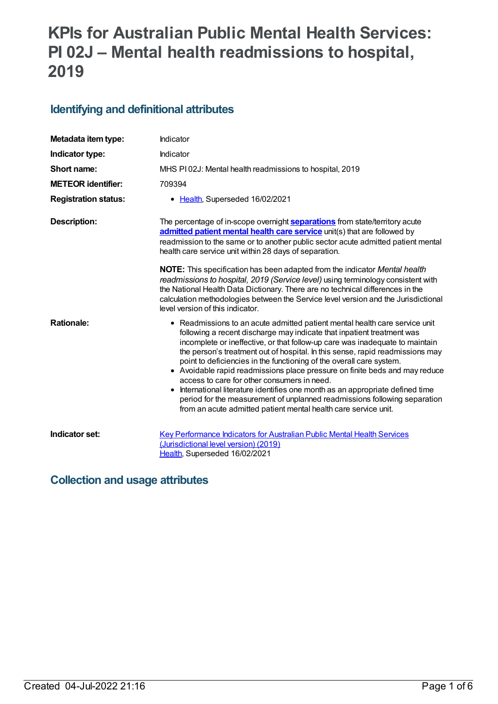# **KPIs for Australian Public Mental Health Services: PI 02J – Mental health readmissions to hospital, 2019**

# **Identifying and definitional attributes**

| Metadata item type:         | Indicator                                                                                                                                                                                                                                                                                                                                                                                                                                                                                                                                                                                                                                                                                                                                                    |
|-----------------------------|--------------------------------------------------------------------------------------------------------------------------------------------------------------------------------------------------------------------------------------------------------------------------------------------------------------------------------------------------------------------------------------------------------------------------------------------------------------------------------------------------------------------------------------------------------------------------------------------------------------------------------------------------------------------------------------------------------------------------------------------------------------|
| Indicator type:             | Indicator                                                                                                                                                                                                                                                                                                                                                                                                                                                                                                                                                                                                                                                                                                                                                    |
| Short name:                 | MHS PI02J: Mental health readmissions to hospital, 2019                                                                                                                                                                                                                                                                                                                                                                                                                                                                                                                                                                                                                                                                                                      |
| <b>METEOR identifier:</b>   | 709394                                                                                                                                                                                                                                                                                                                                                                                                                                                                                                                                                                                                                                                                                                                                                       |
| <b>Registration status:</b> | • Health, Superseded 16/02/2021                                                                                                                                                                                                                                                                                                                                                                                                                                                                                                                                                                                                                                                                                                                              |
| <b>Description:</b>         | The percentage of in-scope overnight <b>separations</b> from state/territory acute<br>admitted patient mental health care service unit(s) that are followed by<br>readmission to the same or to another public sector acute admitted patient mental<br>health care service unit within 28 days of separation.                                                                                                                                                                                                                                                                                                                                                                                                                                                |
|                             | NOTE: This specification has been adapted from the indicator Mental health<br>readmissions to hospital, 2019 (Service level) using terminology consistent with<br>the National Health Data Dictionary. There are no technical differences in the<br>calculation methodologies between the Service level version and the Jurisdictional<br>level version of this indicator.                                                                                                                                                                                                                                                                                                                                                                                   |
| <b>Rationale:</b>           | • Readmissions to an acute admitted patient mental health care service unit<br>following a recent discharge may indicate that inpatient treatment was<br>incomplete or ineffective, or that follow-up care was inadequate to maintain<br>the person's treatment out of hospital. In this sense, rapid readmissions may<br>point to deficiencies in the functioning of the overall care system.<br>• Avoidable rapid readmissions place pressure on finite beds and may reduce<br>access to care for other consumers in need.<br>International literature identifies one month as an appropriate defined time<br>period for the measurement of unplanned readmissions following separation<br>from an acute admitted patient mental health care service unit. |
| Indicator set:              | <b>Key Performance Indicators for Australian Public Mental Health Services</b><br>(Jurisdictional level version) (2019)<br>Health, Superseded 16/02/2021                                                                                                                                                                                                                                                                                                                                                                                                                                                                                                                                                                                                     |

# **Collection and usage attributes**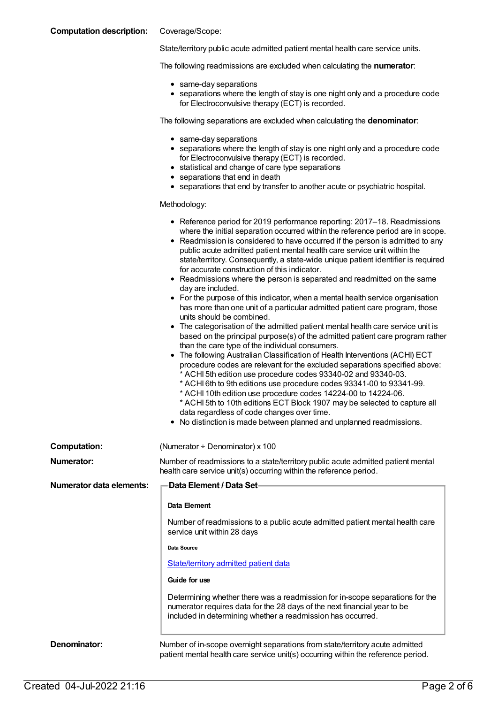### **Computation description:** Coverage/Scope:

State/territory public acute admitted patient mental health care service units.

The following readmissions are excluded when calculating the **numerator**:

- same-day separations
- separations where the length of stay is one night only and a procedure code for Electroconvulsive therapy (ECT) is recorded.

The following separations are excluded when calculating the **denominator**:

- same-day separations
- separations where the length of stay is one night only and a procedure code for Electroconvulsive therapy (ECT) is recorded.
- statistical and change of care type separations
- separations that end in death
- separations that end by transfer to another acute or psychiatric hospital.

#### Methodology:

|                                 | • Reference period for 2019 performance reporting: 2017–18. Readmissions<br>where the initial separation occurred within the reference period are in scope.<br>• Readmission is considered to have occurred if the person is admitted to any<br>public acute admitted patient mental health care service unit within the<br>state/territory. Consequently, a state-wide unique patient identifier is required<br>for accurate construction of this indicator.<br>• Readmissions where the person is separated and readmitted on the same<br>day are included.<br>• For the purpose of this indicator, when a mental health service organisation<br>has more than one unit of a particular admitted patient care program, those<br>units should be combined.<br>• The categorisation of the admitted patient mental health care service unit is<br>based on the principal purpose(s) of the admitted patient care program rather<br>than the care type of the individual consumers.<br>• The following Australian Classification of Health Interventions (ACHI) ECT<br>procedure codes are relevant for the excluded separations specified above:<br>* ACHI 5th edition use procedure codes 93340-02 and 93340-03.<br>* ACHI 6th to 9th editions use procedure codes 93341-00 to 93341-99.<br>* ACHI 10th edition use procedure codes 14224-00 to 14224-06.<br>* ACHI 5th to 10th editions ECT Block 1907 may be selected to capture all<br>data regardless of code changes over time.<br>• No distinction is made between planned and unplanned readmissions. |  |
|---------------------------------|---------------------------------------------------------------------------------------------------------------------------------------------------------------------------------------------------------------------------------------------------------------------------------------------------------------------------------------------------------------------------------------------------------------------------------------------------------------------------------------------------------------------------------------------------------------------------------------------------------------------------------------------------------------------------------------------------------------------------------------------------------------------------------------------------------------------------------------------------------------------------------------------------------------------------------------------------------------------------------------------------------------------------------------------------------------------------------------------------------------------------------------------------------------------------------------------------------------------------------------------------------------------------------------------------------------------------------------------------------------------------------------------------------------------------------------------------------------------------------------------------------------------------------------------------------------|--|
| <b>Computation:</b>             | (Numerator + Denominator) x 100                                                                                                                                                                                                                                                                                                                                                                                                                                                                                                                                                                                                                                                                                                                                                                                                                                                                                                                                                                                                                                                                                                                                                                                                                                                                                                                                                                                                                                                                                                                               |  |
| Numerator:                      | Number of readmissions to a state/territory public acute admitted patient mental<br>health care service unit(s) occurring within the reference period.                                                                                                                                                                                                                                                                                                                                                                                                                                                                                                                                                                                                                                                                                                                                                                                                                                                                                                                                                                                                                                                                                                                                                                                                                                                                                                                                                                                                        |  |
| <b>Numerator data elements:</b> | Data Element / Data Set-                                                                                                                                                                                                                                                                                                                                                                                                                                                                                                                                                                                                                                                                                                                                                                                                                                                                                                                                                                                                                                                                                                                                                                                                                                                                                                                                                                                                                                                                                                                                      |  |
|                                 | Data Element                                                                                                                                                                                                                                                                                                                                                                                                                                                                                                                                                                                                                                                                                                                                                                                                                                                                                                                                                                                                                                                                                                                                                                                                                                                                                                                                                                                                                                                                                                                                                  |  |
|                                 | Number of readmissions to a public acute admitted patient mental health care<br>service unit within 28 days                                                                                                                                                                                                                                                                                                                                                                                                                                                                                                                                                                                                                                                                                                                                                                                                                                                                                                                                                                                                                                                                                                                                                                                                                                                                                                                                                                                                                                                   |  |
|                                 | Data Source                                                                                                                                                                                                                                                                                                                                                                                                                                                                                                                                                                                                                                                                                                                                                                                                                                                                                                                                                                                                                                                                                                                                                                                                                                                                                                                                                                                                                                                                                                                                                   |  |
|                                 | State/territory admitted patient data                                                                                                                                                                                                                                                                                                                                                                                                                                                                                                                                                                                                                                                                                                                                                                                                                                                                                                                                                                                                                                                                                                                                                                                                                                                                                                                                                                                                                                                                                                                         |  |
|                                 | Guide for use                                                                                                                                                                                                                                                                                                                                                                                                                                                                                                                                                                                                                                                                                                                                                                                                                                                                                                                                                                                                                                                                                                                                                                                                                                                                                                                                                                                                                                                                                                                                                 |  |
|                                 | Determining whether there was a readmission for in-scope separations for the<br>numerator requires data for the 28 days of the next financial year to be<br>included in determining whether a readmission has occurred.                                                                                                                                                                                                                                                                                                                                                                                                                                                                                                                                                                                                                                                                                                                                                                                                                                                                                                                                                                                                                                                                                                                                                                                                                                                                                                                                       |  |
| Denominator:                    | Number of in-scope overnight separations from state/territory acute admitted<br>patient mental health care service unit(s) occurring within the reference period.                                                                                                                                                                                                                                                                                                                                                                                                                                                                                                                                                                                                                                                                                                                                                                                                                                                                                                                                                                                                                                                                                                                                                                                                                                                                                                                                                                                             |  |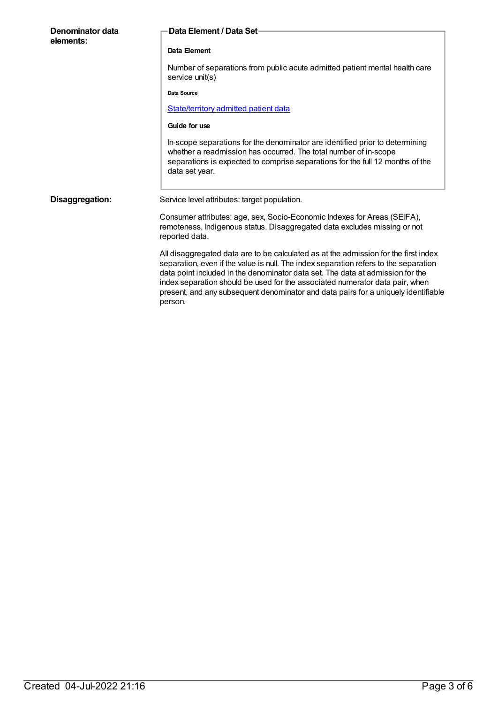| Denominator data<br>elements: | Data Element / Data Set-                                                                                                                                                                                                                                                                                                                                                                                                                       |
|-------------------------------|------------------------------------------------------------------------------------------------------------------------------------------------------------------------------------------------------------------------------------------------------------------------------------------------------------------------------------------------------------------------------------------------------------------------------------------------|
|                               | Data Element                                                                                                                                                                                                                                                                                                                                                                                                                                   |
|                               | Number of separations from public acute admitted patient mental health care<br>service unit(s)                                                                                                                                                                                                                                                                                                                                                 |
|                               | Data Source                                                                                                                                                                                                                                                                                                                                                                                                                                    |
|                               | State/territory admitted patient data                                                                                                                                                                                                                                                                                                                                                                                                          |
|                               | Guide for use                                                                                                                                                                                                                                                                                                                                                                                                                                  |
|                               | In-scope separations for the denominator are identified prior to determining<br>whether a readmission has occurred. The total number of in-scope<br>separations is expected to comprise separations for the full 12 months of the<br>data set year.                                                                                                                                                                                            |
| Disaggregation:               | Service level attributes: target population.                                                                                                                                                                                                                                                                                                                                                                                                   |
|                               | Consumer attributes: age, sex, Socio-Economic Indexes for Areas (SEIFA),<br>remoteness, Indigenous status. Disaggregated data excludes missing or not<br>reported data.                                                                                                                                                                                                                                                                        |
|                               | All disaggregated data are to be calculated as at the admission for the first index<br>separation, even if the value is null. The index separation refers to the separation<br>data point included in the denominator data set. The data at admission for the<br>index separation should be used for the associated numerator data pair, when<br>present, and any subsequent denominator and data pairs for a uniquely identifiable<br>person. |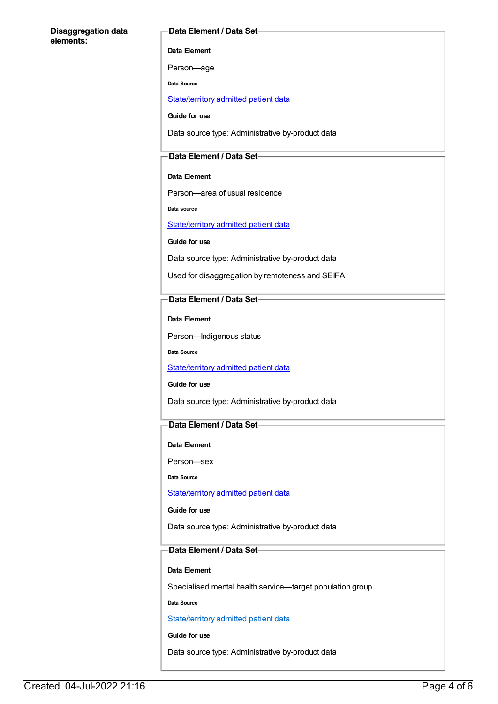### **Disaggregation data elements:**

### **Data Element / Data Set**

**Data Element**

Person—age

**Data Source**

[State/territory](file:///content/426458) admitted patient data

**Guide for use**

Data source type: Administrative by-product data

## **Data Element / Data Set**

### **Data Element**

Person—area of usual residence

**Data source**

[State/territory](file:///content/426458) admitted patient data

**Guide for use**

Data source type: Administrative by-product data

Used for disaggregation by remoteness and SEIFA

## **Data Element / Data Set**

**Data Element**

Person—Indigenous status

**Data Source**

[State/territory](file:///content/426458) admitted patient data

**Guide for use**

Data source type: Administrative by-product data

### **Data Element / Data Set**

#### **Data Element**

Person—sex

**Data Source**

### [State/territory](file:///content/426458) admitted patient data

**Guide for use**

Data source type: Administrative by-product data

# **Data Element / Data Set**

### **Data Element**

Specialised mental health service—target population group

**Data Source**

[State/territory](file:///content/426458) admitted patient data

**Guide for use**

Data source type: Administrative by-product data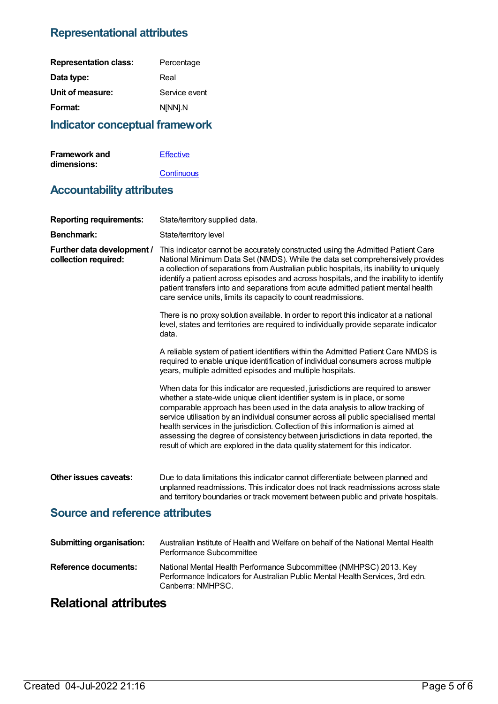# **Representational attributes**

| Percentage    |
|---------------|
| Real          |
| Service event |
| N[NN].N       |
|               |

# **Indicator conceptual framework**

| <b>Framework and</b> | Effective  |
|----------------------|------------|
| dimensions:          |            |
|                      | Continuous |

# **Accountability attributes**

| <b>Reporting requirements:</b>                     | State/territory supplied data.                                                                                                                                                                                                                                                                                                                                                                                                                                                                                                                                                             |  |
|----------------------------------------------------|--------------------------------------------------------------------------------------------------------------------------------------------------------------------------------------------------------------------------------------------------------------------------------------------------------------------------------------------------------------------------------------------------------------------------------------------------------------------------------------------------------------------------------------------------------------------------------------------|--|
| <b>Benchmark:</b>                                  | State/territory level                                                                                                                                                                                                                                                                                                                                                                                                                                                                                                                                                                      |  |
| Further data development /<br>collection required: | This indicator cannot be accurately constructed using the Admitted Patient Care<br>National Minimum Data Set (NMDS). While the data set comprehensively provides<br>a collection of separations from Australian public hospitals, its inability to uniquely<br>identify a patient across episodes and across hospitals, and the inability to identify<br>patient transfers into and separations from acute admitted patient mental health<br>care service units, limits its capacity to count readmissions.                                                                                |  |
|                                                    | There is no proxy solution available. In order to report this indicator at a national<br>level, states and territories are required to individually provide separate indicator<br>data.                                                                                                                                                                                                                                                                                                                                                                                                    |  |
|                                                    | A reliable system of patient identifiers within the Admitted Patient Care NMDS is<br>required to enable unique identification of individual consumers across multiple<br>years, multiple admitted episodes and multiple hospitals.                                                                                                                                                                                                                                                                                                                                                         |  |
|                                                    | When data for this indicator are requested, jurisdictions are required to answer<br>whether a state-wide unique client identifier system is in place, or some<br>comparable approach has been used in the data analysis to allow tracking of<br>service utilisation by an individual consumer across all public specialised mental<br>health services in the jurisdiction. Collection of this information is aimed at<br>assessing the degree of consistency between jurisdictions in data reported, the<br>result of which are explored in the data quality statement for this indicator. |  |
| Other issues caveats:                              | Due to data limitations this indicator cannot differentiate between planned and<br>unplanned readmissions. This indicator does not track readmissions across state<br>and territory boundaries or track movement between public and private hospitals.                                                                                                                                                                                                                                                                                                                                     |  |
| <b>Source and reference attributes</b>             |                                                                                                                                                                                                                                                                                                                                                                                                                                                                                                                                                                                            |  |
| <b>Submitting organisation:</b>                    | Australian Institute of Health and Welfare on behalf of the National Mental Health<br>Performance Subcommittee                                                                                                                                                                                                                                                                                                                                                                                                                                                                             |  |
| <b>Reference documents:</b>                        | National Mental Health Performance Subcommittee (NMHPSC) 2013. Key<br>Performance Indicators for Australian Public Mental Health Services, 3rd edn.                                                                                                                                                                                                                                                                                                                                                                                                                                        |  |

Canberra: NMHPSC.

# **Relational attributes**